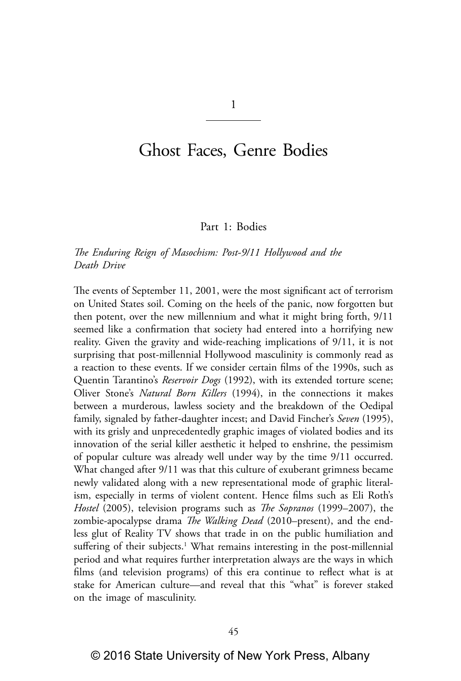1

# Ghost Faces, Genre Bodies

# Part 1: Bodies

# *The Enduring Reign of Masochism: Post-9/11 Hollywood and the Death Drive*

The events of September 11, 2001, were the most significant act of terrorism on United States soil. Coming on the heels of the panic, now forgotten but then potent, over the new millennium and what it might bring forth, 9/11 seemed like a confirmation that society had entered into a horrifying new reality. Given the gravity and wide-reaching implications of 9/11, it is not surprising that post-millennial Hollywood masculinity is commonly read as a reaction to these events. If we consider certain films of the 1990s, such as Quentin Tarantino's *Reservoir Dogs* (1992), with its extended torture scene; Oliver Stone's *Natural Born Killers* (1994), in the connections it makes between a murderous, lawless society and the breakdown of the Oedipal family, signaled by father-daughter incest; and David Fincher's *Seven* (1995), with its grisly and unprecedentedly graphic images of violated bodies and its innovation of the serial killer aesthetic it helped to enshrine, the pessimism of popular culture was already well under way by the time 9/11 occurred. What changed after 9/11 was that this culture of exuberant grimness became newly validated along with a new representational mode of graphic literalism, especially in terms of violent content. Hence films such as Eli Roth's *Hostel* (2005), television programs such as *The Sopranos* (1999–2007), the zombie-apocalypse drama *The Walking Dead* (2010–present), and the endless glut of Reality TV shows that trade in on the public humiliation and suffering of their subjects.<sup>1</sup> What remains interesting in the post-millennial period and what requires further interpretation always are the ways in which films (and television programs) of this era continue to reflect what is at stake for American culture—and reveal that this "what" is forever staked on the image of masculinity.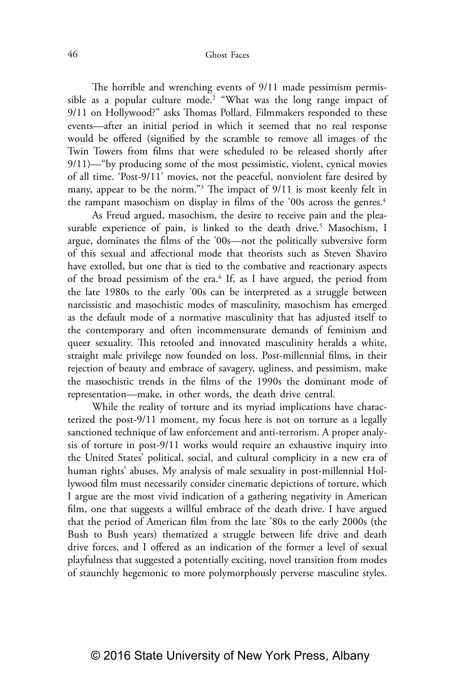The horrible and wrenching events of 9/11 made pessimism permissible as a popular culture mode.<sup>2</sup> "What was the long range impact of 9/11 on Hollywood?" asks Thomas Pollard. Filmmakers responded to these events—after an initial period in which it seemed that no real response would be offered (signified by the scramble to remove all images of the Twin Towers from films that were scheduled to be released shortly after 9/11)—"by producing some of the most pessimistic, violent, cynical movies of all time. 'Post-9/11' movies, not the peaceful, nonviolent fare desired by many, appear to be the norm."3 The impact of 9/11 is most keenly felt in the rampant masochism on display in films of the '00s across the genres.<sup>4</sup>

As Freud argued, masochism, the desire to receive pain and the pleasurable experience of pain, is linked to the death drive.<sup>5</sup> Masochism, I argue, dominates the films of the '00s—not the politically subversive form of this sexual and affectional mode that theorists such as Steven Shaviro have extolled, but one that is tied to the combative and reactionary aspects of the broad pessimism of the era.<sup>6</sup> If, as I have argued, the period from the late 1980s to the early '00s can be interpreted as a struggle between narcissistic and masochistic modes of masculinity, masochism has emerged as the default mode of a normative masculinity that has adjusted itself to the contemporary and often incommensurate demands of feminism and queer sexuality. This retooled and innovated masculinity heralds a white, straight male privilege now founded on loss. Post-millennial films, in their rejection of beauty and embrace of savagery, ugliness, and pessimism, make the masochistic trends in the films of the 1990s the dominant mode of representation—make, in other words, the death drive central.

While the reality of torture and its myriad implications have characterized the post-9/11 moment, my focus here is not on torture as a legally sanctioned technique of law enforcement and anti-terrorism. A proper analysis of torture in post-9/11 works would require an exhaustive inquiry into the United States' political, social, and cultural complicity in a new era of human rights' abuses. My analysis of male sexuality in post-millennial Hollywood film must necessarily consider cinematic depictions of torture, which I argue are the most vivid indication of a gathering negativity in American film, one that suggests a willful embrace of the death drive. I have argued that the period of American film from the late '80s to the early 2000s (the Bush to Bush years) thematized a struggle between life drive and death drive forces, and I offered as an indication of the former a level of sexual playfulness that suggested a potentially exciting, novel transition from modes of staunchly hegemonic to more polymorphously perverse masculine styles.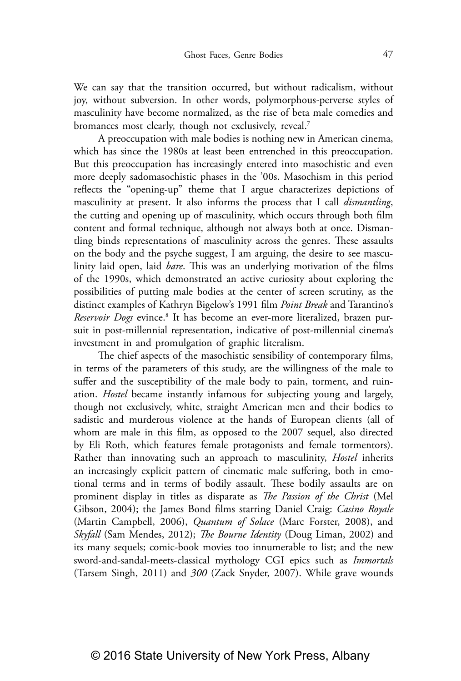We can say that the transition occurred, but without radicalism, without joy, without subversion. In other words, polymorphous-perverse styles of masculinity have become normalized, as the rise of beta male comedies and bromances most clearly, though not exclusively, reveal.<sup>7</sup>

A preoccupation with male bodies is nothing new in American cinema, which has since the 1980s at least been entrenched in this preoccupation. But this preoccupation has increasingly entered into masochistic and even more deeply sadomasochistic phases in the '00s. Masochism in this period reflects the "opening-up" theme that I argue characterizes depictions of masculinity at present. It also informs the process that I call *dismantling*, the cutting and opening up of masculinity, which occurs through both film content and formal technique, although not always both at once. Dismantling binds representations of masculinity across the genres. These assaults on the body and the psyche suggest, I am arguing, the desire to see masculinity laid open, laid *bare*. This was an underlying motivation of the films of the 1990s, which demonstrated an active curiosity about exploring the possibilities of putting male bodies at the center of screen scrutiny, as the distinct examples of Kathryn Bigelow's 1991 film *Point Break* and Tarantino's Reservoir Dogs evince.<sup>8</sup> It has become an ever-more literalized, brazen pursuit in post-millennial representation, indicative of post-millennial cinema's investment in and promulgation of graphic literalism.

The chief aspects of the masochistic sensibility of contemporary films, in terms of the parameters of this study, are the willingness of the male to suffer and the susceptibility of the male body to pain, torment, and ruination. *Hostel* became instantly infamous for subjecting young and largely, though not exclusively, white, straight American men and their bodies to sadistic and murderous violence at the hands of European clients (all of whom are male in this film, as opposed to the 2007 sequel, also directed by Eli Roth, which features female protagonists and female tormentors). Rather than innovating such an approach to masculinity, *Hostel* inherits an increasingly explicit pattern of cinematic male suffering, both in emotional terms and in terms of bodily assault. These bodily assaults are on prominent display in titles as disparate as *The Passion of the Christ* (Mel Gibson, 2004); the James Bond films starring Daniel Craig: *Casino Royale* (Martin Campbell, 2006), *Quantum of Solace* (Marc Forster, 2008), and *Skyfall* (Sam Mendes, 2012); *The Bourne Identity* (Doug Liman, 2002) and its many sequels; comic-book movies too innumerable to list; and the new sword-and-sandal-meets-classical mythology CGI epics such as *Immortals* (Tarsem Singh, 2011) and *300* (Zack Snyder, 2007). While grave wounds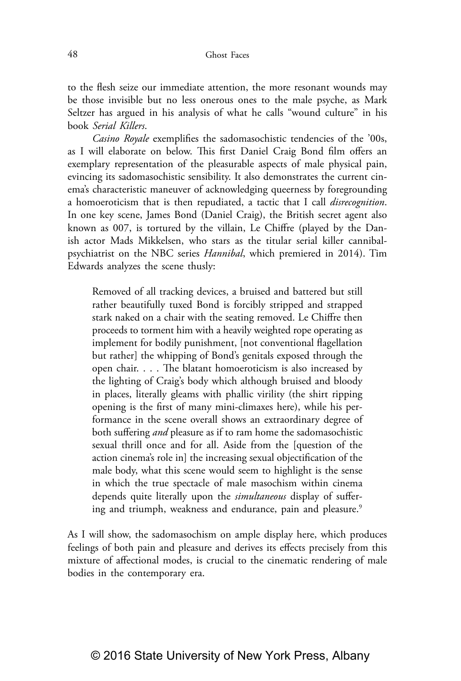to the flesh seize our immediate attention, the more resonant wounds may be those invisible but no less onerous ones to the male psyche, as Mark Seltzer has argued in his analysis of what he calls "wound culture" in his book *Serial Killers*.

*Casino Royale* exemplifies the sadomasochistic tendencies of the '00s, as I will elaborate on below. This first Daniel Craig Bond film offers an exemplary representation of the pleasurable aspects of male physical pain, evincing its sadomasochistic sensibility. It also demonstrates the current cinema's characteristic maneuver of acknowledging queerness by foregrounding a homoeroticism that is then repudiated, a tactic that I call *disrecognition*. In one key scene, James Bond (Daniel Craig), the British secret agent also known as 007, is tortured by the villain, Le Chiffre (played by the Danish actor Mads Mikkelsen, who stars as the titular serial killer cannibalpsychiatrist on the NBC series *Hannibal*, which premiered in 2014). Tim Edwards analyzes the scene thusly:

Removed of all tracking devices, a bruised and battered but still rather beautifully tuxed Bond is forcibly stripped and strapped stark naked on a chair with the seating removed. Le Chiffre then proceeds to torment him with a heavily weighted rope operating as implement for bodily punishment, [not conventional flagellation but rather] the whipping of Bond's genitals exposed through the open chair. . . . The blatant homoeroticism is also increased by the lighting of Craig's body which although bruised and bloody in places, literally gleams with phallic virility (the shirt ripping opening is the first of many mini-climaxes here), while his performance in the scene overall shows an extraordinary degree of both suffering *and* pleasure as if to ram home the sadomasochistic sexual thrill once and for all. Aside from the [question of the action cinema's role in] the increasing sexual objectification of the male body, what this scene would seem to highlight is the sense in which the true spectacle of male masochism within cinema depends quite literally upon the *simultaneous* display of suffering and triumph, weakness and endurance, pain and pleasure.<sup>9</sup>

As I will show, the sadomasochism on ample display here, which produces feelings of both pain and pleasure and derives its effects precisely from this mixture of affectional modes, is crucial to the cinematic rendering of male bodies in the contemporary era.

© 2016 State University of New York Press, Albany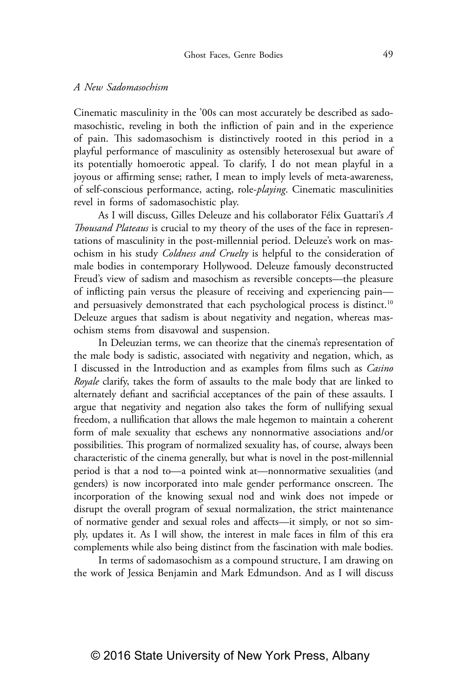#### *A New Sadomasochism*

Cinematic masculinity in the '00s can most accurately be described as sadomasochistic, reveling in both the infliction of pain and in the experience of pain. This sadomasochism is distinctively rooted in this period in a playful performance of masculinity as ostensibly heterosexual but aware of its potentially homoerotic appeal. To clarify, I do not mean playful in a joyous or affirming sense; rather, I mean to imply levels of meta-awareness, of self-conscious performance, acting, role-*playing*. Cinematic masculinities revel in forms of sadomasochistic play.

As I will discuss, Gilles Deleuze and his collaborator Félix Guattari's *A Thousand Plateaus* is crucial to my theory of the uses of the face in representations of masculinity in the post-millennial period. Deleuze's work on masochism in his study *Coldness and Cruelty* is helpful to the consideration of male bodies in contemporary Hollywood. Deleuze famously deconstructed Freud's view of sadism and masochism as reversible concepts—the pleasure of inflicting pain versus the pleasure of receiving and experiencing pain and persuasively demonstrated that each psychological process is distinct.<sup>10</sup> Deleuze argues that sadism is about negativity and negation, whereas masochism stems from disavowal and suspension.

In Deleuzian terms, we can theorize that the cinema's representation of the male body is sadistic, associated with negativity and negation, which, as I discussed in the Introduction and as examples from films such as *Casino Royale* clarify, takes the form of assaults to the male body that are linked to alternately defiant and sacrificial acceptances of the pain of these assaults. I argue that negativity and negation also takes the form of nullifying sexual freedom, a nullification that allows the male hegemon to maintain a coherent form of male sexuality that eschews any nonnormative associations and/or possibilities. This program of normalized sexuality has, of course, always been characteristic of the cinema generally, but what is novel in the post-millennial period is that a nod to—a pointed wink at—nonnormative sexualities (and genders) is now incorporated into male gender performance onscreen. The incorporation of the knowing sexual nod and wink does not impede or disrupt the overall program of sexual normalization, the strict maintenance of normative gender and sexual roles and affects—it simply, or not so simply, updates it. As I will show, the interest in male faces in film of this era complements while also being distinct from the fascination with male bodies.

In terms of sadomasochism as a compound structure, I am drawing on the work of Jessica Benjamin and Mark Edmundson. And as I will discuss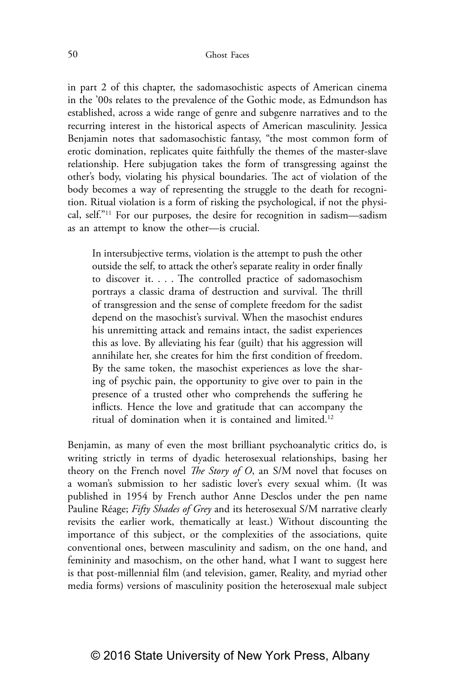in part 2 of this chapter, the sadomasochistic aspects of American cinema in the '00s relates to the prevalence of the Gothic mode, as Edmundson has established, across a wide range of genre and subgenre narratives and to the recurring interest in the historical aspects of American masculinity. Jessica Benjamin notes that sadomasochistic fantasy, "the most common form of erotic domination, replicates quite faithfully the themes of the master-slave relationship. Here subjugation takes the form of transgressing against the other's body, violating his physical boundaries. The act of violation of the body becomes a way of representing the struggle to the death for recognition. Ritual violation is a form of risking the psychological, if not the physical, self."11 For our purposes, the desire for recognition in sadism—sadism as an attempt to know the other—is crucial.

In intersubjective terms, violation is the attempt to push the other outside the self, to attack the other's separate reality in order finally to discover it. . . . The controlled practice of sadomasochism portrays a classic drama of destruction and survival. The thrill of transgression and the sense of complete freedom for the sadist depend on the masochist's survival. When the masochist endures his unremitting attack and remains intact, the sadist experiences this as love. By alleviating his fear (guilt) that his aggression will annihilate her, she creates for him the first condition of freedom. By the same token, the masochist experiences as love the sharing of psychic pain, the opportunity to give over to pain in the presence of a trusted other who comprehends the suffering he inflicts. Hence the love and gratitude that can accompany the ritual of domination when it is contained and limited.12

Benjamin, as many of even the most brilliant psychoanalytic critics do, is writing strictly in terms of dyadic heterosexual relationships, basing her theory on the French novel *The Story of O*, an S/M novel that focuses on a woman's submission to her sadistic lover's every sexual whim. (It was published in 1954 by French author Anne Desclos under the pen name Pauline Réage; *Fifty Shades of Grey* and its heterosexual S/M narrative clearly revisits the earlier work, thematically at least.) Without discounting the importance of this subject, or the complexities of the associations, quite conventional ones, between masculinity and sadism, on the one hand, and femininity and masochism, on the other hand, what I want to suggest here is that post-millennial film (and television, gamer, Reality, and myriad other media forms) versions of masculinity position the heterosexual male subject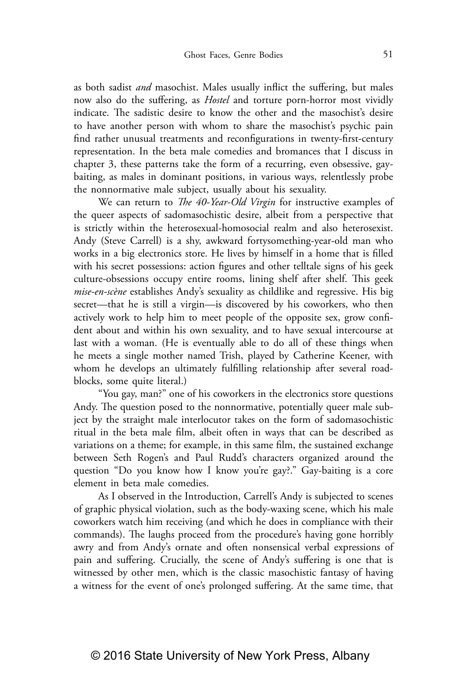as both sadist *and* masochist. Males usually inflict the suffering, but males now also do the suffering, as *Hostel* and torture porn-horror most vividly indicate. The sadistic desire to know the other and the masochist's desire to have another person with whom to share the masochist's psychic pain find rather unusual treatments and reconfigurations in twenty-first-century representation. In the beta male comedies and bromances that I discuss in chapter 3, these patterns take the form of a recurring, even obsessive, gaybaiting, as males in dominant positions, in various ways, relentlessly probe the nonnormative male subject, usually about his sexuality.

We can return to *The 40-Year-Old Virgin* for instructive examples of the queer aspects of sadomasochistic desire, albeit from a perspective that is strictly within the heterosexual-homosocial realm and also heterosexist. Andy (Steve Carrell) is a shy, awkward fortysomething-year-old man who works in a big electronics store. He lives by himself in a home that is filled with his secret possessions: action figures and other telltale signs of his geek culture-obsessions occupy entire rooms, lining shelf after shelf. This geek *mise-en-scène* establishes Andy's sexuality as childlike and regressive. His big secret—that he is still a virgin—is discovered by his coworkers, who then actively work to help him to meet people of the opposite sex, grow confident about and within his own sexuality, and to have sexual intercourse at last with a woman. (He is eventually able to do all of these things when he meets a single mother named Trish, played by Catherine Keener, with whom he develops an ultimately fulfilling relationship after several roadblocks, some quite literal.)

"You gay, man?" one of his coworkers in the electronics store questions Andy. The question posed to the nonnormative, potentially queer male subject by the straight male interlocutor takes on the form of sadomasochistic ritual in the beta male film, albeit often in ways that can be described as variations on a theme; for example, in this same film, the sustained exchange between Seth Rogen's and Paul Rudd's characters organized around the question "Do you know how I know you're gay?." Gay-baiting is a core element in beta male comedies.

As I observed in the Introduction, Carrell's Andy is subjected to scenes of graphic physical violation, such as the body-waxing scene, which his male coworkers watch him receiving (and which he does in compliance with their commands). The laughs proceed from the procedure's having gone horribly awry and from Andy's ornate and often nonsensical verbal expressions of pain and suffering. Crucially, the scene of Andy's suffering is one that is witnessed by other men, which is the classic masochistic fantasy of having a witness for the event of one's prolonged suffering. At the same time, that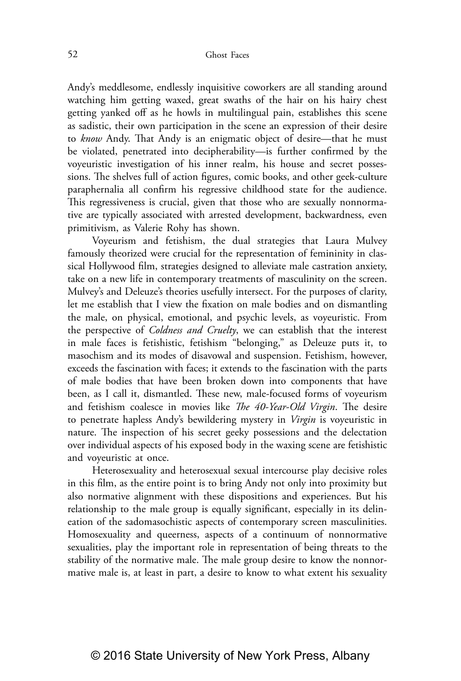Andy's meddlesome, endlessly inquisitive coworkers are all standing around watching him getting waxed, great swaths of the hair on his hairy chest getting yanked off as he howls in multilingual pain, establishes this scene as sadistic, their own participation in the scene an expression of their desire to *know* Andy. That Andy is an enigmatic object of desire—that he must be violated, penetrated into decipherability—is further confirmed by the voyeuristic investigation of his inner realm, his house and secret possessions. The shelves full of action figures, comic books, and other geek-culture paraphernalia all confirm his regressive childhood state for the audience. This regressiveness is crucial, given that those who are sexually nonnormative are typically associated with arrested development, backwardness, even primitivism, as Valerie Rohy has shown.

Voyeurism and fetishism, the dual strategies that Laura Mulvey famously theorized were crucial for the representation of femininity in classical Hollywood film, strategies designed to alleviate male castration anxiety, take on a new life in contemporary treatments of masculinity on the screen. Mulvey's and Deleuze's theories usefully intersect. For the purposes of clarity, let me establish that I view the fixation on male bodies and on dismantling the male, on physical, emotional, and psychic levels, as voyeuristic. From the perspective of *Coldness and Cruelty*, we can establish that the interest in male faces is fetishistic, fetishism "belonging," as Deleuze puts it, to masochism and its modes of disavowal and suspension. Fetishism, however, exceeds the fascination with faces; it extends to the fascination with the parts of male bodies that have been broken down into components that have been, as I call it, dismantled. These new, male-focused forms of voyeurism and fetishism coalesce in movies like *The 40-Year-Old Virgin*. The desire to penetrate hapless Andy's bewildering mystery in *Virgin* is voyeuristic in nature. The inspection of his secret geeky possessions and the delectation over individual aspects of his exposed body in the waxing scene are fetishistic and voyeuristic at once.

Heterosexuality and heterosexual sexual intercourse play decisive roles in this film, as the entire point is to bring Andy not only into proximity but also normative alignment with these dispositions and experiences. But his relationship to the male group is equally significant, especially in its delineation of the sadomasochistic aspects of contemporary screen masculinities. Homosexuality and queerness, aspects of a continuum of nonnormative sexualities, play the important role in representation of being threats to the stability of the normative male. The male group desire to know the nonnormative male is, at least in part, a desire to know to what extent his sexuality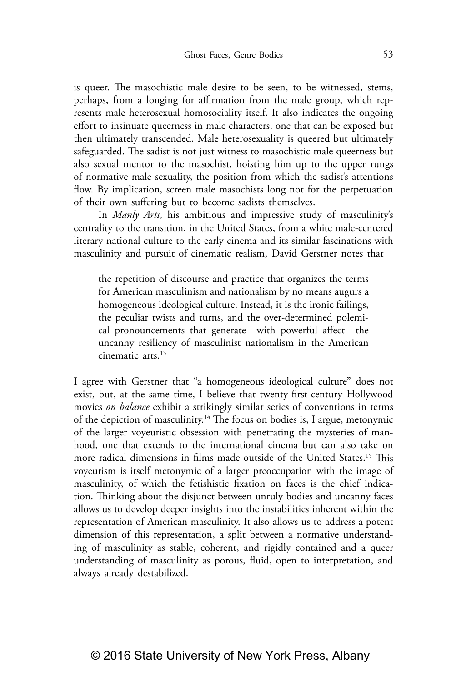is queer. The masochistic male desire to be seen, to be witnessed, stems, perhaps, from a longing for affirmation from the male group, which represents male heterosexual homosociality itself. It also indicates the ongoing effort to insinuate queerness in male characters, one that can be exposed but then ultimately transcended. Male heterosexuality is queered but ultimately safeguarded. The sadist is not just witness to masochistic male queerness but also sexual mentor to the masochist, hoisting him up to the upper rungs of normative male sexuality, the position from which the sadist's attentions flow. By implication, screen male masochists long not for the perpetuation of their own suffering but to become sadists themselves.

In *Manly Arts*, his ambitious and impressive study of masculinity's centrality to the transition, in the United States, from a white male-centered literary national culture to the early cinema and its similar fascinations with masculinity and pursuit of cinematic realism, David Gerstner notes that

the repetition of discourse and practice that organizes the terms for American masculinism and nationalism by no means augurs a homogeneous ideological culture. Instead, it is the ironic failings, the peculiar twists and turns, and the over-determined polemical pronouncements that generate—with powerful affect—the uncanny resiliency of masculinist nationalism in the American cinematic arts.<sup>13</sup>

I agree with Gerstner that "a homogeneous ideological culture" does not exist, but, at the same time, I believe that twenty-first-century Hollywood movies *on balance* exhibit a strikingly similar series of conventions in terms of the depiction of masculinity.14 The focus on bodies is, I argue, metonymic of the larger voyeuristic obsession with penetrating the mysteries of manhood, one that extends to the international cinema but can also take on more radical dimensions in films made outside of the United States.15 This voyeurism is itself metonymic of a larger preoccupation with the image of masculinity, of which the fetishistic fixation on faces is the chief indication. Thinking about the disjunct between unruly bodies and uncanny faces allows us to develop deeper insights into the instabilities inherent within the representation of American masculinity. It also allows us to address a potent dimension of this representation, a split between a normative understanding of masculinity as stable, coherent, and rigidly contained and a queer understanding of masculinity as porous, fluid, open to interpretation, and always already destabilized.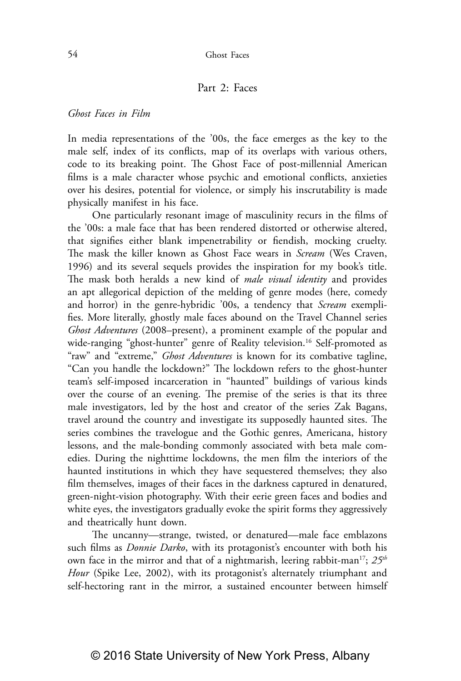## Part 2: Faces

#### *Ghost Faces in Film*

In media representations of the '00s, the face emerges as the key to the male self, index of its conflicts, map of its overlaps with various others, code to its breaking point. The Ghost Face of post-millennial American films is a male character whose psychic and emotional conflicts, anxieties over his desires, potential for violence, or simply his inscrutability is made physically manifest in his face.

One particularly resonant image of masculinity recurs in the films of the '00s: a male face that has been rendered distorted or otherwise altered, that signifies either blank impenetrability or fiendish, mocking cruelty. The mask the killer known as Ghost Face wears in *Scream* (Wes Craven, 1996) and its several sequels provides the inspiration for my book's title. The mask both heralds a new kind of *male visual identity* and provides an apt allegorical depiction of the melding of genre modes (here, comedy and horror) in the genre-hybridic '00s, a tendency that *Scream* exemplifies. More literally, ghostly male faces abound on the Travel Channel series *Ghost Adventures* (2008–present), a prominent example of the popular and wide-ranging "ghost-hunter" genre of Reality television.<sup>16</sup> Self-promoted as "raw" and "extreme," *Ghost Adventures* is known for its combative tagline, "Can you handle the lockdown?" The lockdown refers to the ghost-hunter team's self-imposed incarceration in "haunted" buildings of various kinds over the course of an evening. The premise of the series is that its three male investigators, led by the host and creator of the series Zak Bagans, travel around the country and investigate its supposedly haunted sites. The series combines the travelogue and the Gothic genres, Americana, history lessons, and the male-bonding commonly associated with beta male comedies. During the nighttime lockdowns, the men film the interiors of the haunted institutions in which they have sequestered themselves; they also film themselves, images of their faces in the darkness captured in denatured, green-night-vision photography. With their eerie green faces and bodies and white eyes, the investigators gradually evoke the spirit forms they aggressively and theatrically hunt down.

The uncanny—strange, twisted, or denatured—male face emblazons such films as *Donnie Darko*, with its protagonist's encounter with both his own face in the mirror and that of a nightmarish, leering rabbit-man<sup>17</sup>; 25<sup>th</sup> *Hour* (Spike Lee, 2002), with its protagonist's alternately triumphant and self-hectoring rant in the mirror, a sustained encounter between himself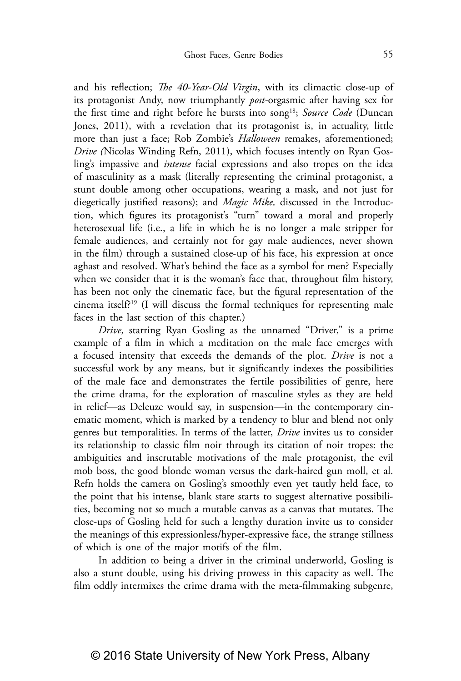and his reflection; *The 40-Year-Old Virgin*, with its climactic close-up of its protagonist Andy, now triumphantly *post*-orgasmic after having sex for the first time and right before he bursts into song18; *Source Code* (Duncan Jones, 2011), with a revelation that its protagonist is, in actuality, little more than just a face; Rob Zombie's *Halloween* remakes, aforementioned; *Drive (*Nicolas Winding Refn, 2011), which focuses intently on Ryan Gosling's impassive and *intense* facial expressions and also tropes on the idea of masculinity as a mask (literally representing the criminal protagonist, a stunt double among other occupations, wearing a mask, and not just for diegetically justified reasons); and *Magic Mike,* discussed in the Introduction, which figures its protagonist's "turn" toward a moral and properly heterosexual life (i.e., a life in which he is no longer a male stripper for female audiences, and certainly not for gay male audiences, never shown in the film) through a sustained close-up of his face, his expression at once aghast and resolved. What's behind the face as a symbol for men? Especially when we consider that it is the woman's face that, throughout film history, has been not only the cinematic face, but the figural representation of the cinema itself?19 (I will discuss the formal techniques for representing male faces in the last section of this chapter.)

*Drive*, starring Ryan Gosling as the unnamed "Driver," is a prime example of a film in which a meditation on the male face emerges with a focused intensity that exceeds the demands of the plot. *Drive* is not a successful work by any means, but it significantly indexes the possibilities of the male face and demonstrates the fertile possibilities of genre, here the crime drama, for the exploration of masculine styles as they are held in relief—as Deleuze would say, in suspension—in the contemporary cinematic moment, which is marked by a tendency to blur and blend not only genres but temporalities. In terms of the latter, *Drive* invites us to consider its relationship to classic film noir through its citation of noir tropes: the ambiguities and inscrutable motivations of the male protagonist, the evil mob boss, the good blonde woman versus the dark-haired gun moll, et al. Refn holds the camera on Gosling's smoothly even yet tautly held face, to the point that his intense, blank stare starts to suggest alternative possibilities, becoming not so much a mutable canvas as a canvas that mutates. The close-ups of Gosling held for such a lengthy duration invite us to consider the meanings of this expressionless/hyper-expressive face, the strange stillness of which is one of the major motifs of the film.

In addition to being a driver in the criminal underworld, Gosling is also a stunt double, using his driving prowess in this capacity as well. The film oddly intermixes the crime drama with the meta-filmmaking subgenre,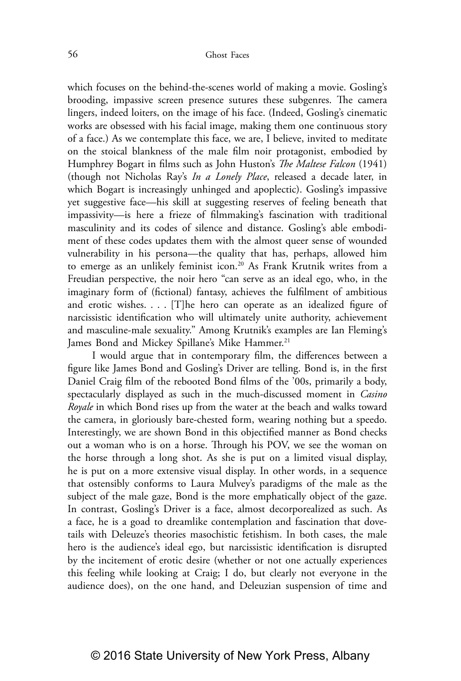which focuses on the behind-the-scenes world of making a movie. Gosling's brooding, impassive screen presence sutures these subgenres. The camera lingers, indeed loiters, on the image of his face. (Indeed, Gosling's cinematic works are obsessed with his facial image, making them one continuous story of a face.) As we contemplate this face, we are, I believe, invited to meditate on the stoical blankness of the male film noir protagonist, embodied by Humphrey Bogart in films such as John Huston's *The Maltese Falcon* (1941) (though not Nicholas Ray's *In a Lonely Place*, released a decade later, in which Bogart is increasingly unhinged and apoplectic). Gosling's impassive yet suggestive face—his skill at suggesting reserves of feeling beneath that impassivity—is here a frieze of filmmaking's fascination with traditional masculinity and its codes of silence and distance. Gosling's able embodiment of these codes updates them with the almost queer sense of wounded vulnerability in his persona—the quality that has, perhaps, allowed him to emerge as an unlikely feminist icon.<sup>20</sup> As Frank Krutnik writes from a Freudian perspective, the noir hero "can serve as an ideal ego, who, in the imaginary form of (fictional) fantasy, achieves the fulfilment of ambitious and erotic wishes. . . . [T]he hero can operate as an idealized figure of narcissistic identification who will ultimately unite authority, achievement and masculine-male sexuality." Among Krutnik's examples are Ian Fleming's James Bond and Mickey Spillane's Mike Hammer.<sup>21</sup>

I would argue that in contemporary film, the differences between a figure like James Bond and Gosling's Driver are telling. Bond is, in the first Daniel Craig film of the rebooted Bond films of the '00s, primarily a body, spectacularly displayed as such in the much-discussed moment in *Casino Royale* in which Bond rises up from the water at the beach and walks toward the camera, in gloriously bare-chested form, wearing nothing but a speedo. Interestingly, we are shown Bond in this objectified manner as Bond checks out a woman who is on a horse. Through his POV, we see the woman on the horse through a long shot. As she is put on a limited visual display, he is put on a more extensive visual display. In other words, in a sequence that ostensibly conforms to Laura Mulvey's paradigms of the male as the subject of the male gaze, Bond is the more emphatically object of the gaze. In contrast, Gosling's Driver is a face, almost decorporealized as such. As a face, he is a goad to dreamlike contemplation and fascination that dovetails with Deleuze's theories masochistic fetishism. In both cases, the male hero is the audience's ideal ego, but narcissistic identification is disrupted by the incitement of erotic desire (whether or not one actually experiences this feeling while looking at Craig; I do, but clearly not everyone in the audience does), on the one hand, and Deleuzian suspension of time and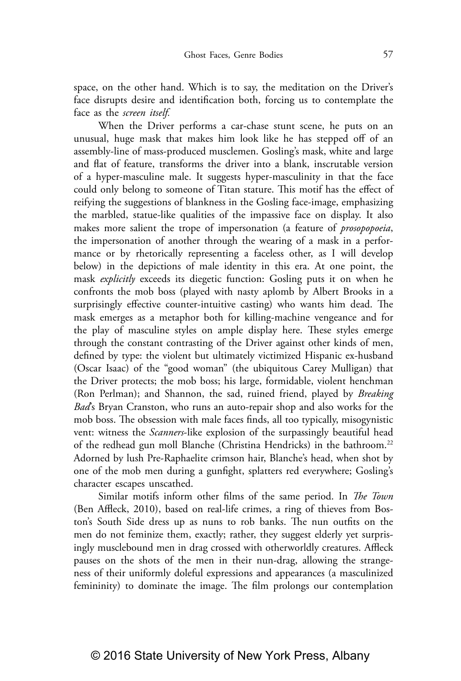space, on the other hand. Which is to say, the meditation on the Driver's face disrupts desire and identification both, forcing us to contemplate the face as the *screen itself.*

When the Driver performs a car-chase stunt scene, he puts on an unusual, huge mask that makes him look like he has stepped off of an assembly-line of mass-produced musclemen. Gosling's mask, white and large and flat of feature, transforms the driver into a blank, inscrutable version of a hyper-masculine male. It suggests hyper-masculinity in that the face could only belong to someone of Titan stature. This motif has the effect of reifying the suggestions of blankness in the Gosling face-image, emphasizing the marbled, statue-like qualities of the impassive face on display. It also makes more salient the trope of impersonation (a feature of *prosopopoeia*, the impersonation of another through the wearing of a mask in a performance or by rhetorically representing a faceless other, as I will develop below) in the depictions of male identity in this era. At one point, the mask *explicitly* exceeds its diegetic function: Gosling puts it on when he confronts the mob boss (played with nasty aplomb by Albert Brooks in a surprisingly effective counter-intuitive casting) who wants him dead. The mask emerges as a metaphor both for killing-machine vengeance and for the play of masculine styles on ample display here. These styles emerge through the constant contrasting of the Driver against other kinds of men, defined by type: the violent but ultimately victimized Hispanic ex-husband (Oscar Isaac) of the "good woman" (the ubiquitous Carey Mulligan) that the Driver protects; the mob boss; his large, formidable, violent henchman (Ron Perlman); and Shannon, the sad, ruined friend, played by *Breaking Bad*'s Bryan Cranston, who runs an auto-repair shop and also works for the mob boss. The obsession with male faces finds, all too typically, misogynistic vent: witness the *Scanners*-like explosion of the surpassingly beautiful head of the redhead gun moll Blanche (Christina Hendricks) in the bathroom.<sup>22</sup> Adorned by lush Pre-Raphaelite crimson hair, Blanche's head, when shot by one of the mob men during a gunfight, splatters red everywhere; Gosling's character escapes unscathed.

Similar motifs inform other films of the same period. In *The Town* (Ben Affleck, 2010), based on real-life crimes, a ring of thieves from Boston's South Side dress up as nuns to rob banks. The nun outfits on the men do not feminize them, exactly; rather, they suggest elderly yet surprisingly musclebound men in drag crossed with otherworldly creatures. Affleck pauses on the shots of the men in their nun-drag, allowing the strangeness of their uniformly doleful expressions and appearances (a masculinized femininity) to dominate the image. The film prolongs our contemplation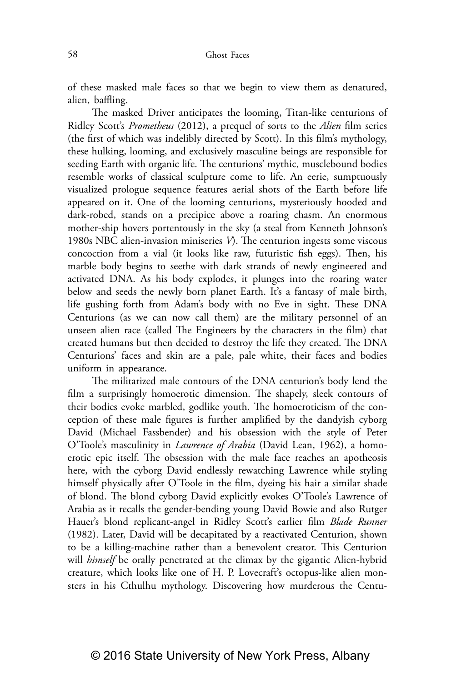of these masked male faces so that we begin to view them as denatured, alien, baffling.

The masked Driver anticipates the looming, Titan-like centurions of Ridley Scott's *Prometheus* (2012), a prequel of sorts to the *Alien* film series (the first of which was indelibly directed by Scott). In this film's mythology, these hulking, looming, and exclusively masculine beings are responsible for seeding Earth with organic life. The centurions' mythic, musclebound bodies resemble works of classical sculpture come to life. An eerie, sumptuously visualized prologue sequence features aerial shots of the Earth before life appeared on it. One of the looming centurions, mysteriously hooded and dark-robed, stands on a precipice above a roaring chasm. An enormous mother-ship hovers portentously in the sky (a steal from Kenneth Johnson's 1980s NBC alien-invasion miniseries *V*). The centurion ingests some viscous concoction from a vial (it looks like raw, futuristic fish eggs). Then, his marble body begins to seethe with dark strands of newly engineered and activated DNA. As his body explodes, it plunges into the roaring water below and seeds the newly born planet Earth. It's a fantasy of male birth, life gushing forth from Adam's body with no Eve in sight. These DNA Centurions (as we can now call them) are the military personnel of an unseen alien race (called The Engineers by the characters in the film) that created humans but then decided to destroy the life they created. The DNA Centurions' faces and skin are a pale, pale white, their faces and bodies uniform in appearance.

The militarized male contours of the DNA centurion's body lend the film a surprisingly homoerotic dimension. The shapely, sleek contours of their bodies evoke marbled, godlike youth. The homoeroticism of the conception of these male figures is further amplified by the dandyish cyborg David (Michael Fassbender) and his obsession with the style of Peter O'Toole's masculinity in *Lawrence of Arabia* (David Lean, 1962), a homoerotic epic itself. The obsession with the male face reaches an apotheosis here, with the cyborg David endlessly rewatching Lawrence while styling himself physically after O'Toole in the film, dyeing his hair a similar shade of blond. The blond cyborg David explicitly evokes O'Toole's Lawrence of Arabia as it recalls the gender-bending young David Bowie and also Rutger Hauer's blond replicant-angel in Ridley Scott's earlier film *Blade Runner* (1982). Later, David will be decapitated by a reactivated Centurion, shown to be a killing-machine rather than a benevolent creator. This Centurion will *himself* be orally penetrated at the climax by the gigantic Alien-hybrid creature, which looks like one of H. P. Lovecraft's octopus-like alien monsters in his Cthulhu mythology. Discovering how murderous the Centu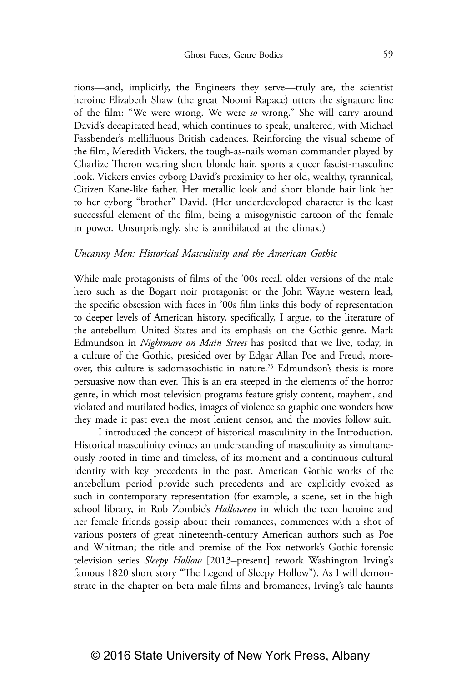rions—and, implicitly, the Engineers they serve—truly are, the scientist heroine Elizabeth Shaw (the great Noomi Rapace) utters the signature line of the film: "We were wrong. We were *so* wrong." She will carry around David's decapitated head, which continues to speak, unaltered, with Michael Fassbender's mellifluous British cadences. Reinforcing the visual scheme of the film, Meredith Vickers, the tough-as-nails woman commander played by Charlize Theron wearing short blonde hair, sports a queer fascist-masculine look. Vickers envies cyborg David's proximity to her old, wealthy, tyrannical, Citizen Kane-like father. Her metallic look and short blonde hair link her to her cyborg "brother" David. (Her underdeveloped character is the least successful element of the film, being a misogynistic cartoon of the female in power. Unsurprisingly, she is annihilated at the climax.)

### *Uncanny Men: Historical Masculinity and the American Gothic*

While male protagonists of films of the '00s recall older versions of the male hero such as the Bogart noir protagonist or the John Wayne western lead, the specific obsession with faces in '00s film links this body of representation to deeper levels of American history, specifically, I argue, to the literature of the antebellum United States and its emphasis on the Gothic genre. Mark Edmundson in *Nightmare on Main Street* has posited that we live, today, in a culture of the Gothic, presided over by Edgar Allan Poe and Freud; moreover, this culture is sadomasochistic in nature.<sup>23</sup> Edmundson's thesis is more persuasive now than ever. This is an era steeped in the elements of the horror genre, in which most television programs feature grisly content, mayhem, and violated and mutilated bodies, images of violence so graphic one wonders how they made it past even the most lenient censor, and the movies follow suit.

I introduced the concept of historical masculinity in the Introduction. Historical masculinity evinces an understanding of masculinity as simultaneously rooted in time and timeless, of its moment and a continuous cultural identity with key precedents in the past. American Gothic works of the antebellum period provide such precedents and are explicitly evoked as such in contemporary representation (for example, a scene, set in the high school library, in Rob Zombie's *Halloween* in which the teen heroine and her female friends gossip about their romances, commences with a shot of various posters of great nineteenth-century American authors such as Poe and Whitman; the title and premise of the Fox network's Gothic-forensic television series *Sleepy Hollow* [2013–present] rework Washington Irving's famous 1820 short story "The Legend of Sleepy Hollow"). As I will demonstrate in the chapter on beta male films and bromances, Irving's tale haunts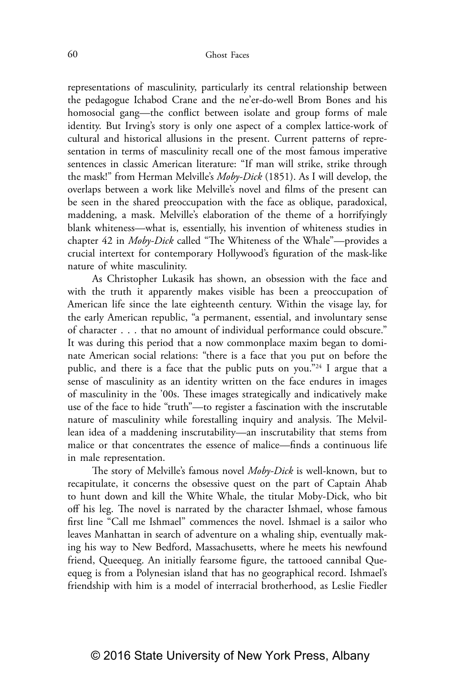representations of masculinity, particularly its central relationship between the pedagogue Ichabod Crane and the ne'er-do-well Brom Bones and his homosocial gang—the conflict between isolate and group forms of male identity. But Irving's story is only one aspect of a complex lattice-work of cultural and historical allusions in the present. Current patterns of representation in terms of masculinity recall one of the most famous imperative sentences in classic American literature: "If man will strike, strike through the mask!" from Herman Melville's *Moby-Dick* (1851). As I will develop, the overlaps between a work like Melville's novel and films of the present can be seen in the shared preoccupation with the face as oblique, paradoxical, maddening, a mask. Melville's elaboration of the theme of a horrifyingly blank whiteness—what is, essentially, his invention of whiteness studies in chapter 42 in *Moby-Dick* called "The Whiteness of the Whale"—provides a crucial intertext for contemporary Hollywood's figuration of the mask-like nature of white masculinity.

As Christopher Lukasik has shown, an obsession with the face and with the truth it apparently makes visible has been a preoccupation of American life since the late eighteenth century. Within the visage lay, for the early American republic, "a permanent, essential, and involuntary sense of character . . . that no amount of individual performance could obscure." It was during this period that a now commonplace maxim began to dominate American social relations: "there is a face that you put on before the public, and there is a face that the public puts on you."24 I argue that a sense of masculinity as an identity written on the face endures in images of masculinity in the '00s. These images strategically and indicatively make use of the face to hide "truth"—to register a fascination with the inscrutable nature of masculinity while forestalling inquiry and analysis. The Melvillean idea of a maddening inscrutability—an inscrutability that stems from malice or that concentrates the essence of malice—finds a continuous life in male representation.

The story of Melville's famous novel *Moby-Dick* is well-known, but to recapitulate, it concerns the obsessive quest on the part of Captain Ahab to hunt down and kill the White Whale, the titular Moby-Dick, who bit off his leg. The novel is narrated by the character Ishmael, whose famous first line "Call me Ishmael" commences the novel. Ishmael is a sailor who leaves Manhattan in search of adventure on a whaling ship, eventually making his way to New Bedford, Massachusetts, where he meets his newfound friend, Queequeg. An initially fearsome figure, the tattooed cannibal Queequeg is from a Polynesian island that has no geographical record. Ishmael's friendship with him is a model of interracial brotherhood, as Leslie Fiedler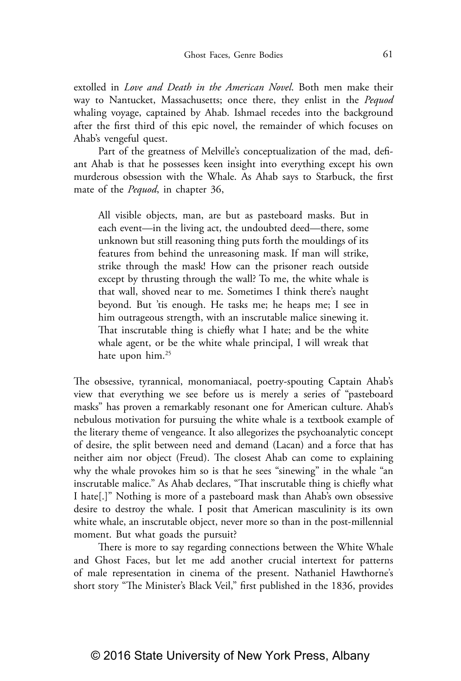extolled in *Love and Death in the American Novel*. Both men make their way to Nantucket, Massachusetts; once there, they enlist in the *Pequod* whaling voyage, captained by Ahab. Ishmael recedes into the background after the first third of this epic novel, the remainder of which focuses on Ahab's vengeful quest.

Part of the greatness of Melville's conceptualization of the mad, defiant Ahab is that he possesses keen insight into everything except his own murderous obsession with the Whale. As Ahab says to Starbuck, the first mate of the *Pequod*, in chapter 36,

All visible objects, man, are but as pasteboard masks. But in each event—in the living act, the undoubted deed—there, some unknown but still reasoning thing puts forth the mouldings of its features from behind the unreasoning mask. If man will strike, strike through the mask! How can the prisoner reach outside except by thrusting through the wall? To me, the white whale is that wall, shoved near to me. Sometimes I think there's naught beyond. But 'tis enough. He tasks me; he heaps me; I see in him outrageous strength, with an inscrutable malice sinewing it. That inscrutable thing is chiefly what I hate; and be the white whale agent, or be the white whale principal, I will wreak that hate upon him.<sup>25</sup>

The obsessive, tyrannical, monomaniacal, poetry-spouting Captain Ahab's view that everything we see before us is merely a series of "pasteboard masks" has proven a remarkably resonant one for American culture. Ahab's nebulous motivation for pursuing the white whale is a textbook example of the literary theme of vengeance. It also allegorizes the psychoanalytic concept of desire, the split between need and demand (Lacan) and a force that has neither aim nor object (Freud). The closest Ahab can come to explaining why the whale provokes him so is that he sees "sinewing" in the whale "an inscrutable malice." As Ahab declares, "That inscrutable thing is chiefly what I hate[.]" Nothing is more of a pasteboard mask than Ahab's own obsessive desire to destroy the whale. I posit that American masculinity is its own white whale, an inscrutable object, never more so than in the post-millennial moment. But what goads the pursuit?

There is more to say regarding connections between the White Whale and Ghost Faces, but let me add another crucial intertext for patterns of male representation in cinema of the present. Nathaniel Hawthorne's short story "The Minister's Black Veil," first published in the 1836, provides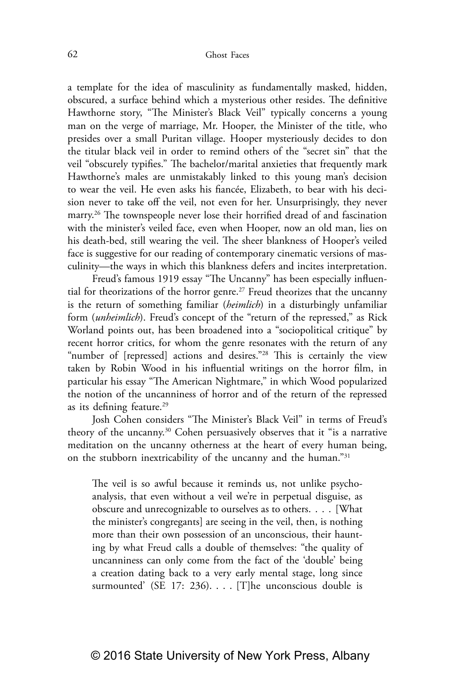a template for the idea of masculinity as fundamentally masked, hidden, obscured, a surface behind which a mysterious other resides. The definitive Hawthorne story, "The Minister's Black Veil" typically concerns a young man on the verge of marriage, Mr. Hooper, the Minister of the title, who presides over a small Puritan village. Hooper mysteriously decides to don the titular black veil in order to remind others of the "secret sin" that the veil "obscurely typifies." The bachelor/marital anxieties that frequently mark Hawthorne's males are unmistakably linked to this young man's decision to wear the veil. He even asks his fiancée, Elizabeth, to bear with his decision never to take off the veil, not even for her. Unsurprisingly, they never marry.<sup>26</sup> The townspeople never lose their horrified dread of and fascination with the minister's veiled face, even when Hooper, now an old man, lies on his death-bed, still wearing the veil. The sheer blankness of Hooper's veiled face is suggestive for our reading of contemporary cinematic versions of masculinity—the ways in which this blankness defers and incites interpretation.

Freud's famous 1919 essay "The Uncanny" has been especially influential for theorizations of the horror genre.<sup>27</sup> Freud theorizes that the uncanny is the return of something familiar (*heimlich*) in a disturbingly unfamiliar form (*unheimlich*). Freud's concept of the "return of the repressed," as Rick Worland points out, has been broadened into a "sociopolitical critique" by recent horror critics, for whom the genre resonates with the return of any "number of [repressed] actions and desires."<sup>28</sup> This is certainly the view taken by Robin Wood in his influential writings on the horror film, in particular his essay "The American Nightmare," in which Wood popularized the notion of the uncanniness of horror and of the return of the repressed as its defining feature.<sup>29</sup>

Josh Cohen considers "The Minister's Black Veil" in terms of Freud's theory of the uncanny.30 Cohen persuasively observes that it "is a narrative meditation on the uncanny otherness at the heart of every human being, on the stubborn inextricability of the uncanny and the human."31

The veil is so awful because it reminds us, not unlike psychoanalysis, that even without a veil we're in perpetual disguise, as obscure and unrecognizable to ourselves as to others. . . . [What the minister's congregants] are seeing in the veil, then, is nothing more than their own possession of an unconscious, their haunting by what Freud calls a double of themselves: "the quality of uncanniness can only come from the fact of the 'double' being a creation dating back to a very early mental stage, long since surmounted' (SE 17: 236). . . . [T]he unconscious double is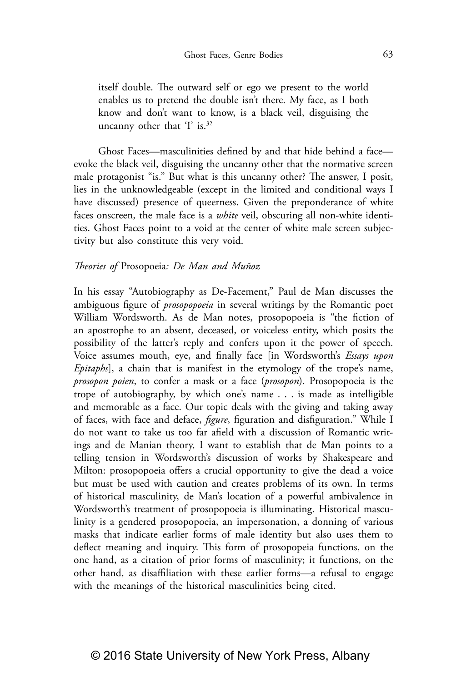itself double. The outward self or ego we present to the world enables us to pretend the double isn't there. My face, as I both know and don't want to know, is a black veil, disguising the uncanny other that 'I' is.<sup>32</sup>

Ghost Faces—masculinities defined by and that hide behind a face evoke the black veil, disguising the uncanny other that the normative screen male protagonist "is." But what is this uncanny other? The answer, I posit, lies in the unknowledgeable (except in the limited and conditional ways I have discussed) presence of queerness. Given the preponderance of white faces onscreen, the male face is a *white* veil, obscuring all non-white identities. Ghost Faces point to a void at the center of white male screen subjectivity but also constitute this very void.

#### *Theories of* Prosopoeia*: De Man and Muñoz*

In his essay "Autobiography as De-Facement," Paul de Man discusses the ambiguous figure of *prosopopoeia* in several writings by the Romantic poet William Wordsworth. As de Man notes, prosopopoeia is "the fiction of an apostrophe to an absent, deceased, or voiceless entity, which posits the possibility of the latter's reply and confers upon it the power of speech. Voice assumes mouth, eye, and finally face [in Wordsworth's *Essays upon Epitaphs*], a chain that is manifest in the etymology of the trope's name, *prosopon poien*, to confer a mask or a face (*prosopon*). Prosopopoeia is the trope of autobiography, by which one's name . . . is made as intelligible and memorable as a face. Our topic deals with the giving and taking away of faces, with face and deface, *figure*, figuration and disfiguration." While I do not want to take us too far afield with a discussion of Romantic writings and de Manian theory, I want to establish that de Man points to a telling tension in Wordsworth's discussion of works by Shakespeare and Milton: prosopopoeia offers a crucial opportunity to give the dead a voice but must be used with caution and creates problems of its own. In terms of historical masculinity, de Man's location of a powerful ambivalence in Wordsworth's treatment of prosopopoeia is illuminating. Historical masculinity is a gendered prosopopoeia, an impersonation, a donning of various masks that indicate earlier forms of male identity but also uses them to deflect meaning and inquiry. This form of prosopopeia functions, on the one hand, as a citation of prior forms of masculinity; it functions, on the other hand, as disaffiliation with these earlier forms—a refusal to engage with the meanings of the historical masculinities being cited.